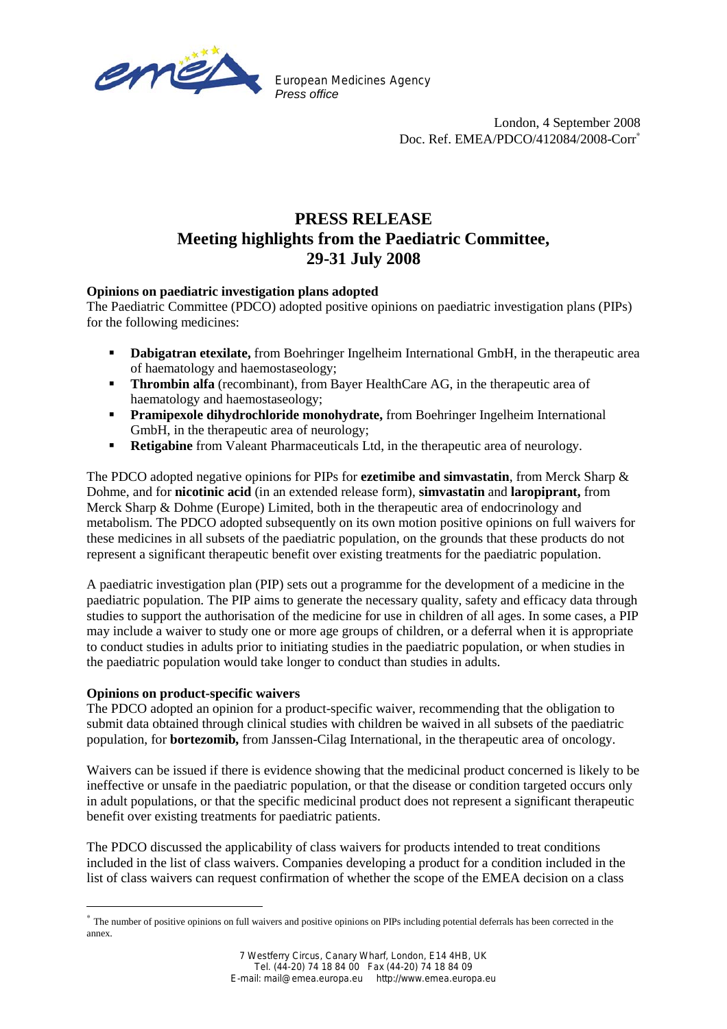

European Medicines Agency *Press office*

> London, 4 September 2008 Doc. Ref. EMEA/PDCO/412084/2008-Corr<sup>\*</sup>

# **PRESS RELEASE Meeting highlights from the Paediatric Committee, 29-31 July 2008**

### **Opinions on paediatric investigation plans adopted**

The Paediatric Committee (PDCO) adopted positive opinions on paediatric investigation plans (PIPs) for the following medicines:

- **Dabigatran etexilate,** from Boehringer Ingelheim International GmbH, in the therapeutic area of haematology and haemostaseology;
- **Thrombin alfa** (recombinant), from Bayer HealthCare AG, in the therapeutic area of haematology and haemostaseology;
- **Pramipexole dihydrochloride monohydrate,** from Boehringer Ingelheim International GmbH, in the therapeutic area of neurology;
- **Retigabine** from Valeant Pharmaceuticals Ltd, in the therapeutic area of neurology.

The PDCO adopted negative opinions for PIPs for **ezetimibe and simvastatin**, from Merck Sharp & Dohme, and for **nicotinic acid** (in an extended release form), **simvastatin** and **laropiprant,** from Merck Sharp & Dohme (Europe) Limited, both in the therapeutic area of endocrinology and metabolism. The PDCO adopted subsequently on its own motion positive opinions on full waivers for these medicines in all subsets of the paediatric population, on the grounds that these products do not represent a significant therapeutic benefit over existing treatments for the paediatric population.

A paediatric investigation plan (PIP) sets out a programme for the development of a medicine in the paediatric population. The PIP aims to generate the necessary quality, safety and efficacy data through studies to support the authorisation of the medicine for use in children of all ages. In some cases, a PIP may include a waiver to study one or more age groups of children, or a deferral when it is appropriate to conduct studies in adults prior to initiating studies in the paediatric population, or when studies in the paediatric population would take longer to conduct than studies in adults.

#### **Opinions on product-specific waivers**

l

The PDCO adopted an opinion for a product-specific waiver, recommending that the obligation to submit data obtained through clinical studies with children be waived in all subsets of the paediatric population, for **bortezomib,** from Janssen-Cilag International, in the therapeutic area of oncology.

Waivers can be issued if there is evidence showing that the medicinal product concerned is likely to be ineffective or unsafe in the paediatric population, or that the disease or condition targeted occurs only in adult populations, or that the specific medicinal product does not represent a significant therapeutic benefit over existing treatments for paediatric patients.

The PDCO discussed the applicability of class waivers for products intended to treat conditions included in the list of class waivers. Companies developing a product for a condition included in the list of class waivers can request confirmation of whether the scope of the EMEA decision on a class

<sup>∗</sup> The number of positive opinions on full waivers and positive opinions on PIPs including potential deferrals has been corrected in the annex.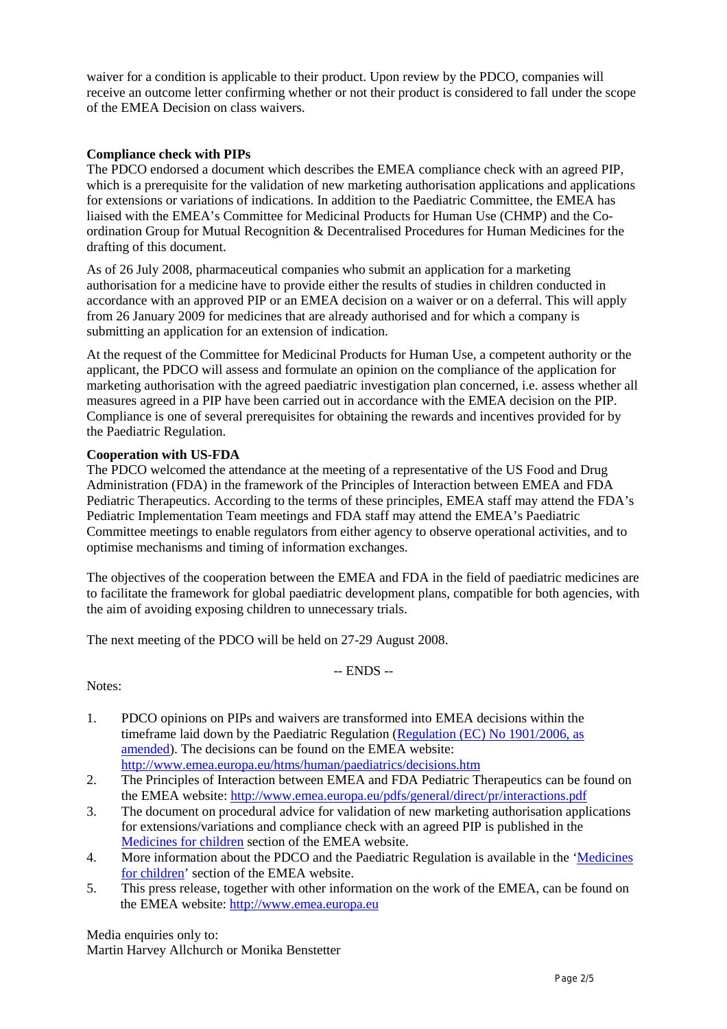waiver for a condition is applicable to their product. Upon review by the PDCO, companies will receive an outcome letter confirming whether or not their product is considered to fall under the scope of the EMEA Decision on class waivers.

#### **Compliance check with PIPs**

The PDCO endorsed a document which describes the EMEA compliance check with an agreed PIP, which is a prerequisite for the validation of new marketing authorisation applications and applications for extensions or variations of indications. In addition to the Paediatric Committee, the EMEA has liaised with the EMEA's Committee for Medicinal Products for Human Use (CHMP) and the Coordination Group for Mutual Recognition & Decentralised Procedures for Human Medicines for the drafting of this document.

As of 26 July 2008, pharmaceutical companies who submit an application for a marketing authorisation for a medicine have to provide either the results of studies in children conducted in accordance with an approved PIP or an EMEA decision on a waiver or on a deferral. This will apply from 26 January 2009 for medicines that are already authorised and for which a company is submitting an application for an extension of indication.

At the request of the Committee for Medicinal Products for Human Use, a competent authority or the applicant, the PDCO will assess and formulate an opinion on the compliance of the application for marketing authorisation with the agreed paediatric investigation plan concerned, i.e. assess whether all measures agreed in a PIP have been carried out in accordance with the EMEA decision on the PIP. Compliance is one of several prerequisites for obtaining the rewards and incentives provided for by the Paediatric Regulation.

#### **Cooperation with US-FDA**

The PDCO welcomed the attendance at the meeting of a representative of the US Food and Drug Administration (FDA) in the framework of the Principles of Interaction between EMEA and FDA Pediatric Therapeutics. According to the terms of these principles, EMEA staff may attend the FDA's Pediatric Implementation Team meetings and FDA staff may attend the EMEA's Paediatric Committee meetings to enable regulators from either agency to observe operational activities, and to optimise mechanisms and timing of information exchanges.

The objectives of the cooperation between the EMEA and FDA in the field of paediatric medicines are to facilitate the framework for global paediatric development plans, compatible for both agencies, with the aim of avoiding exposing children to unnecessary trials.

The next meeting of the PDCO will be held on 27-29 August 2008.

-- ENDS --

Notes:

- 1. PDCO opinions on PIPs and waivers are transformed into EMEA decisions within the timeframe laid down by the Paediatric Regulation (Regulation (EC) No 1901/2006, as amended). The decisions can be found on the EMEA website: http://www.emea.europa.eu/htms/human/paediatrics/decisions.htm
- 2. The Principles of Interaction between EMEA and FDA Pediatric Therapeutics can be found on the EMEA website: http://www.emea.europa.eu/pdfs/general/direct/pr/interactions.pdf
- 3. The document on procedural advice for validation of new marketing authorisation applications for extensions/variations and compliance check with an agreed PIP is published in the Medicines for children section of the EMEA website.
- 4. More information about the PDCO and the Paediatric Regulation is available in the 'Medicines for children' section of the EMEA website.
- 5. This press release, together with other information on the work of the EMEA, can be found on the EMEA website: http://www.emea.europa.eu

Media enquiries only to: Martin Harvey Allchurch or Monika Benstetter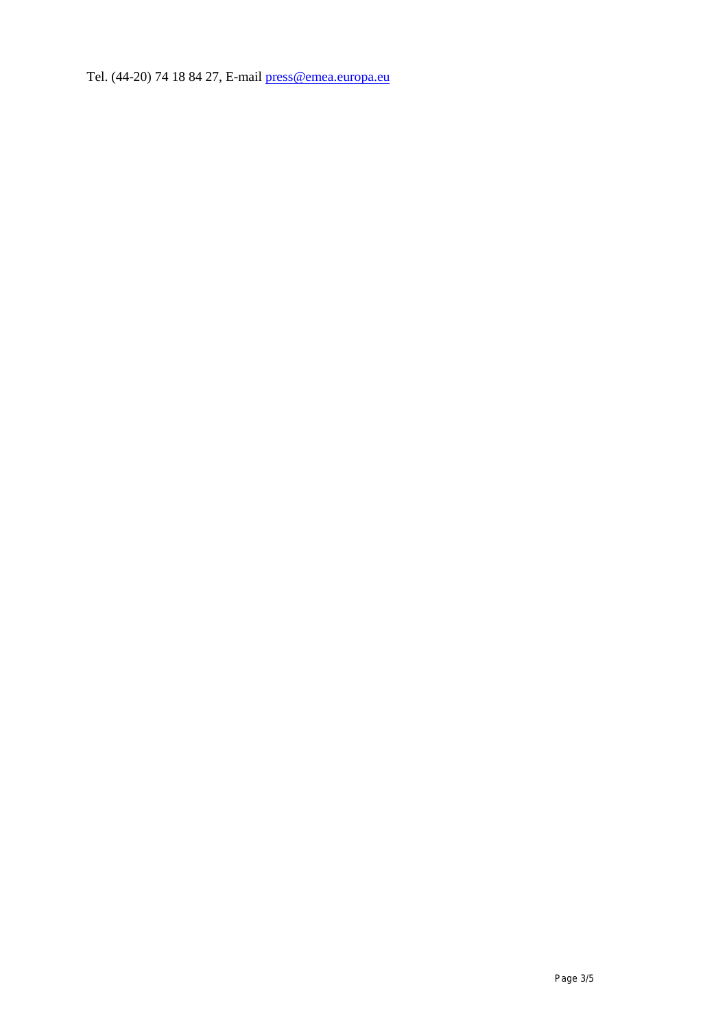Tel. (44-20) 74 18 84 27, E-mail press@emea.europa.eu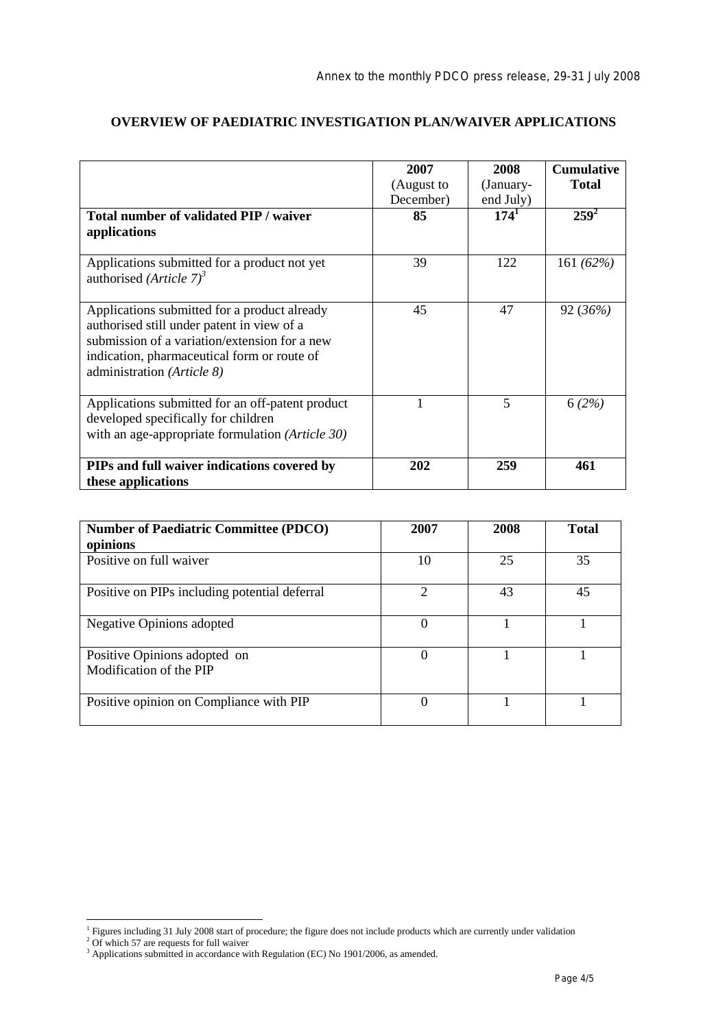|                                                                                                                                                                                                                          | 2007       | 2008      | <b>Cumulative</b> |
|--------------------------------------------------------------------------------------------------------------------------------------------------------------------------------------------------------------------------|------------|-----------|-------------------|
|                                                                                                                                                                                                                          | (August to | (January- | <b>Total</b>      |
|                                                                                                                                                                                                                          | December)  | end July) |                   |
| Total number of validated PIP / waiver<br>applications                                                                                                                                                                   | 85         | $174^1$   | $259^2$           |
| Applications submitted for a product not yet<br>authorised ( <i>Article</i> $7^3$                                                                                                                                        | 39         | 122       | 161 $(62%)$       |
| Applications submitted for a product already<br>authorised still under patent in view of a<br>submission of a variation/extension for a new<br>indication, pharmaceutical form or route of<br>administration (Article 8) | 45         | 47        | 92 (36%)          |
| Applications submitted for an off-patent product<br>developed specifically for children<br>with an age-appropriate formulation (Article 30)                                                                              |            | 5         | 6(2%)             |
| PIPs and full waiver indications covered by<br>these applications                                                                                                                                                        | 202        | 259       | 461               |

## **OVERVIEW OF PAEDIATRIC INVESTIGATION PLAN/WAIVER APPLICATIONS**

| <b>Number of Paediatric Committee (PDCO)</b><br>opinions | 2007          | 2008 | <b>Total</b> |
|----------------------------------------------------------|---------------|------|--------------|
| Positive on full waiver                                  | 10            | 25   | 35           |
| Positive on PIPs including potential deferral            | $\mathcal{D}$ | 43   | 45           |
| <b>Negative Opinions adopted</b>                         | 0             |      |              |
| Positive Opinions adopted on<br>Modification of the PIP  |               |      |              |
| Positive opinion on Compliance with PIP                  |               |      |              |

<sup>&</sup>lt;sup>1</sup> Figures including 31 July 2008 start of procedure; the figure does not include products which are currently under validation  $^{2}$  Of which 57 are requests for full waiver<br><sup>3</sup> Applications submitted in accordance with